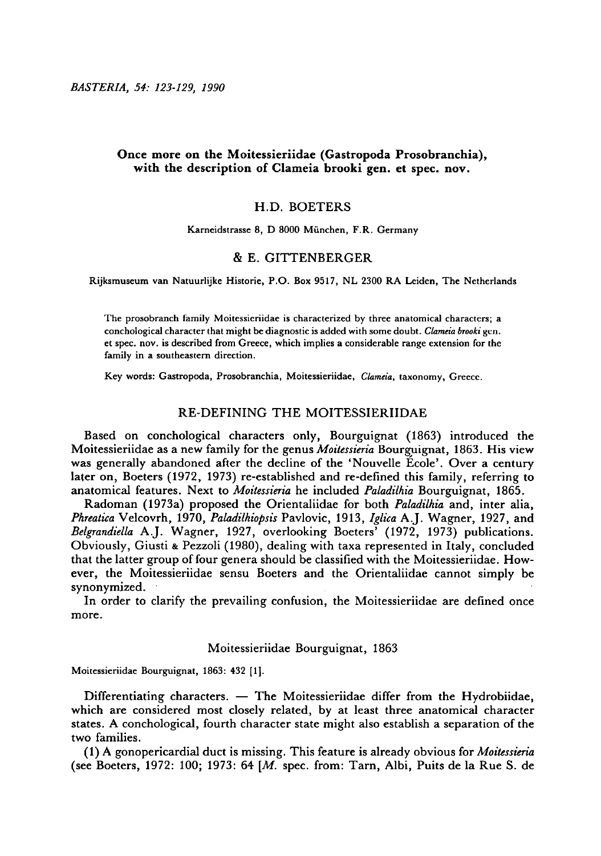# Once more on the Moitessieriidae (Gastropoda Prosobranchia), with the description of Clameia brooki gen. et spec. nov.

### H.D. Boeters

Karneidstrasse 8, D 8000 Miinchen, F.R. Germany

### & E. Gittenberger

Rijksmuscum van Natuurlijkc Historie, P.O. Box 9517, NL <sup>2300</sup> RA Leiden, The Netherlands

The prosobranch family Moitessieriidae is characterized by three anatomical characters; <sup>a</sup> conchological character that might be diagnostic is added with some doubt. Clameia brooki gen. et spec. nov. is described from Greece, which implies <sup>a</sup> considerable range extension for the family in <sup>a</sup> southeastern direction.

Key words: Gastropoda, Prosobranchia, Moitessieriidae, Clameia, taxonomy, Greece.

# RE-DEFINING THE MOITESSIERIIDAE

Based on conchological characters only, Bourguignat (1863) introduced the Moitessieriidae as a new family for the genus Moitessieria Bourguignat, 1863. His view was generally abandoned after the decline of the 'Nouvelle Ecole'. Over <sup>a</sup> century later on, Boeters (1972, 1973) re-established and re-defined this family, referring to anatomical features. Next to Moitessieria he included Paladilhia Bourguignat, 1865.

Radoman (1973a) proposed the Orientaliidae for both Paladilhia and, inter alia, Phreatica Velcovrh, 1970, Paladilhiopsis Pavlovic, 1913, Iglica A.J. Wagner, 1927, and Belgrandiella A.J. Wagner, 1927, overlooking Boeters' (1972, 1973) publications. Obviously, Giusti & Pezzoli (1980), dealing with taxa represented in Italy, concluded that the lattergroup of four genera should be classified with the Moitessieriidae. However, the Moitessieriidae sensu Boeters and the Orientaliidae cannot simply be synonymized.

In order to clarify the prevailing confusion, the Moitessieriidae are defined once more.

## Moitessieriidae Bourguignat, 1863

Moitessieriidae Bourguignat, 1863: <sup>432</sup> [l]

Differentiating characters.  $-$  The Moitessieriidae differ from the Hydrobiidae, which are considered most closely related, by at least three anatomical character states. A conchological, fourth character state might also establish a separation of the two families.

(1) A gonopericardial duct is missing. This feature is already obvious for Moitessieria (see Boeters, 1972: 100; 1973: 64 [M. spec, from: Tarn, Albi, Puits de la Rue S. de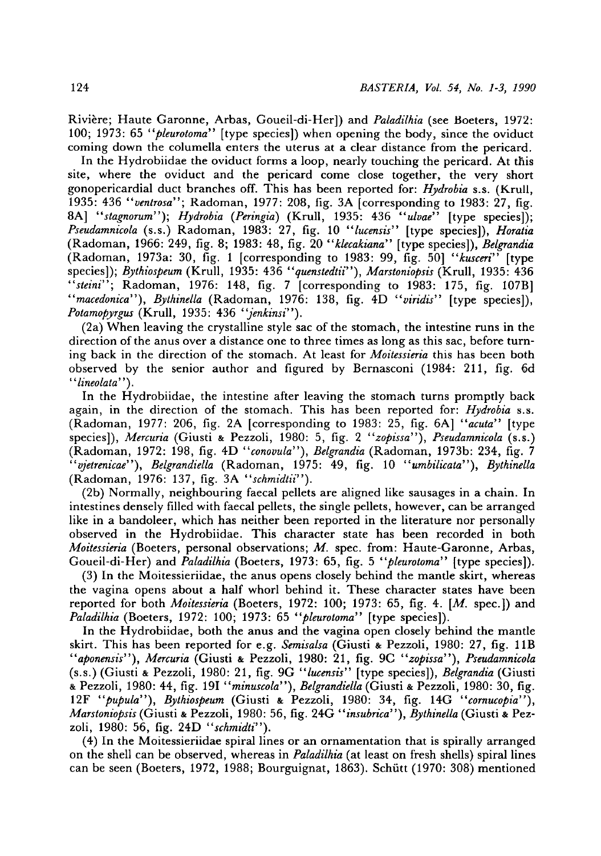Rivière; Haute Garonne, Arbas, Goueil-di-Her]) and Paladilhia (see Boeters, 1972: 100; 1973: 65 "*pleurotoma*" [type species]) when opening the body, since the oviduct coming down the columella enters the uterus at <sup>a</sup> clear distance from the pericard.

In the Hydrobiidae the oviduct forms a loop, nearly touching the pericard. At this site, where the oviduct and the pericard come close together, the very short gonopericardial duct branches off. This has been reported for:  $Hydrobia$  s.s. (Krull, 1935: 436 "ventrosa"; Radoman, 1977: 208, fig. 3A [corresponding to 1983: 27, fig. 8A] "stagnorum"); Hydrobia (Peringia) (Krull, 1935: 436 "ulvae" [type species]); Pseudamnicola (s.s.) Radoman, 1983: 27, fig. 10 "lucensis" [type species]), Horatia (Radoman, 1966: 249, fig. 8; 1983: 48, fig. 20 "klecakiana" [type species]), Belgrandia (Radoman, 1973a: 30, fig. <sup>1</sup> [corresponding to 1983: 99, fig. 50] "kusceri" [type species]); Bythiospeum (Krull, 1935: 436 "quenstedtii"), Marstoniopsis (Krull, 1935: 436 "steini"; Radoman, 1976: 148, fig. 7 [corresponding to 1983: 175, fig. 107B] "macedonica"), Bythinella (Radoman, 1976: 138, fig.  $4D$  "viridis" [type species]), Potamopyrgus (Krull, 1935: 436 "jenkinsi").

(2a) When leaving the crystalline style sacof the stomach, the intestine runs in the direction of the anus over a distance one to three times as long as this sac, before turning back in the direction of the stomach. At least for *Moitessieria* this has been both observed by the senior author and figured by Bernasconi (1984: 211, fig. 6d "lineolata").

In the Hydrobiidae, the intestine after leaving the stomach turns promptly back again, in the direction of the stomach. This has been reported for: *Hydrobia* s.s. (Radoman, 1977: 206, fig. 2A [corresponding to 1983: 25, fig. 6A] "acuta" [type species]), Mercuria (Giusti & Pezzoli, 1980: 5, fig. 2 "zopissa"), Pseudamnicola (s.s.) (Radoman, 1972: 198, fig. 4D "conovula"), Belgrandia (Radoman, 1973b: 234, fig. <sup>7</sup> "vjetrenicae"), Belgrandiella (Radoman, 1975: 49, fig. 10 "umbilicata"), Bythinella (Radoman, 1976: 137, fig. 3A "schmidtii").

(2b) Normally, neighbouring faecal pellets are aligned like sausages in <sup>a</sup> chain. In intestines densely filled with faecal pellets, the single pellets, however, can be arranged like in <sup>a</sup> bandoleer, which has neither been reported in the literature nor personally observed in the Hydrobiidae. This character state has been recorded in both Moitessieria (Boeters, personal observations; M. spec, from: Haute-Garonne, Arbas, Goueil-di-Her) and *Paladilhia* (Boeters, 1973: 65, fig. 5 "*pleurotoma*" [type species]).

(3) In the Moitessieriidae, the anusopens closely behind the mantle skirt, whereas the vagina opens about <sup>a</sup> half whorl behind it. These character states have been reported for both Moitessieria (Boeters, 1972: 100; 1973: 65, fig. 4. [M. spec.]) and Paladilhia (Boeters, 1972: 100; 1973: 65 "pleurotoma" [type species]).

In the Hydrobiidae, both the anus and the vagina open closely behind the mantle skirt. This has been reported for e.g. Semisalsa (Giusti & Pezzoli, 1980: 27, fig. 11B "aponensis"), Mercuria (Giusti & Pezzoli, 1980: 21, fig. 9C "zopissa"), Pseudamnicola (s.s.) (Giusti & Pezzoli, 1980: 21, fig. 9G "lucensis" [type species]), Belgrandia (Giusti & Pezzoli, 1980: 44, fig. 191 "minuscola"), Belgrandiella (Giusti & Pezzoli, 1980: 30, fig. 12F "pupula"), Bythiospeum (Giusti & Pezzoli, 1980: 34, fig. 14G "cornucopia"), Marstoniopsis (Giusti & Pezzoli, 1980: 56, fig. 24G "insubrica"), Bythinella (Giusti & Pezzoli, 1980: 56, fig. 24D "schmidti").

(4) In the Moitessieriidaespiral lines or an ornamentation that is spirally arranged on the shell can be observed, whereas in *Paladilhia* (at least on fresh shells) spiral lines can be seen (Boeters, 1972, 1988; Bourguignat, 1863). Schutt (1970: 308) mentioned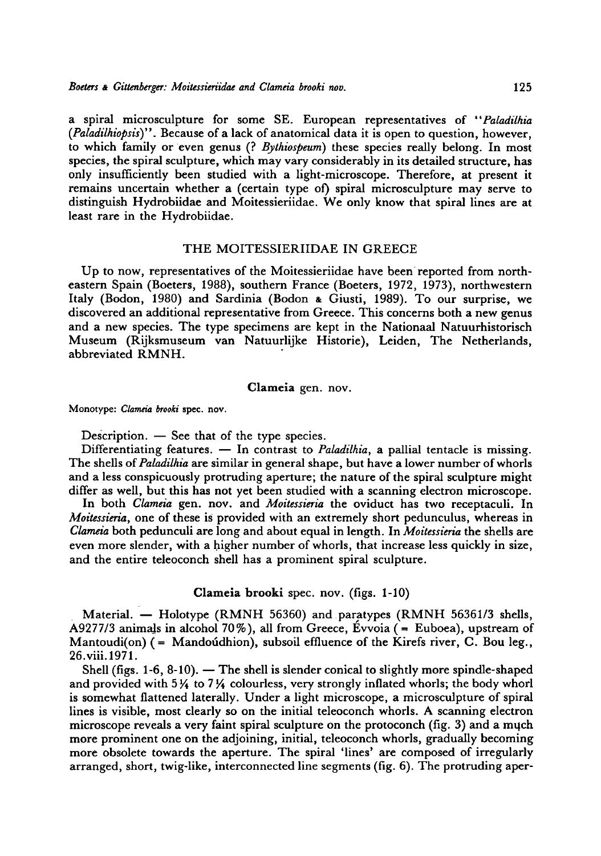a spiral microsculpture for some SE. European representatives of "Paladilhia  $(Paladiihiots)$ ". Because of a lack of anatomical data it is open to question, however, to which family or even genus (? Bythiospeum) these species really belong. In most species, the spiral sculpture, which may vary considerably in its detailed structure, has only insufficiently been studied with <sup>a</sup> light-microscope. Therefore, at present it remains uncertain whether a (certain type of) spiral microsculpture may serve to distinguish Hydrobiidae and Moitessieriidae. We only know that spiral lines are at least rare in the Hydrobiidae.

#### THE MOITESSIERIIDAE IN GREECE

Up to now, representatives of the Moitessieriidae have been reported from northeastern Spain (Boeters, 1988), southern France (Boeters, 1972, 1973), northwestern Italy (Bodon, 1980) and Sardinia (Bodon & Giusti, 1989). To our surprise, we discovered an additional representative from Greece. This concerns both a new genus and <sup>a</sup> new species. The type specimens are kept in the Nationaal Natuurhistorisch Museum (Rijksmuseum van Natuurlijke Historie), Leiden, The Netherlands, abbreviated RMNH.

#### Clameia gen. nov.

Monotype: Clameia brooki spec, nov

Description.  $-$  See that of the type species.

Differentiating features.  $-$  In contrast to *Paladilhia*, a pallial tentacle is missing. The shells of Paladilhia are similar in general shape, but have a lower number of whorls and <sup>a</sup> less conspicuously protruding aperture; the nature of the spiral sculpture might differ as well, but this has not yet been studied with a scanning electron microscope.

In both Clameia gen. nov. and Moitessieria the oviduct has two receptaculi. In Moitessieria, one of these is provided with an extremely short pedunculus, whereas in Clameia both pedunculi are long and about equal in length. In Moitessieria the shells are even more slender, with a higher number of whorls, that increase less quickly in size, and the entire teleoconch shell has a prominent spiral sculpture.

Clameia brooki spec. nov. (figs. 1-10)

Material. — Holotype (RMNH 56360) and paratypes (RMNH 56361/3 shells, A9277/3 animals in alcohol 70%), all from Greece, Evvoia (= Euboea), upstream of Mantoudi(on)  $(=$  Mandoúdhion), subsoil effluence of the Kirefs river, C. Bou leg., 26.viii.1971.

Shell (figs.  $1-6$ ,  $8-10$ ).  $-$  The shell is slender conical to slightly more spindle-shaped and provided with  $5\frac{1}{4}$  to  $7\frac{1}{4}$  colourless, very strongly inflated whorls; the body whorl ind provided with  $\frac{1}{2}$  to  $\frac{1}{2}$  colouriess, very strongly imated where, the sedy where<br>is somewhat flattened laterally. Under a light microscope, a microsculpture of spiral lines is visible, most clearly so on the initial teleoconch whorls. A scanning electron microscope reveals a very faint spiral sculpture on the protoconch (fig. 3) and <sup>a</sup> mqch more prominent one on the adjoining, initial, teleoconch whorls, gradually becoming more obsolete towards the aperture. The spiral 'lines' are composed of irregularly arranged, short, twig-like, interconnected line segments (fig. 6). The protruding aper-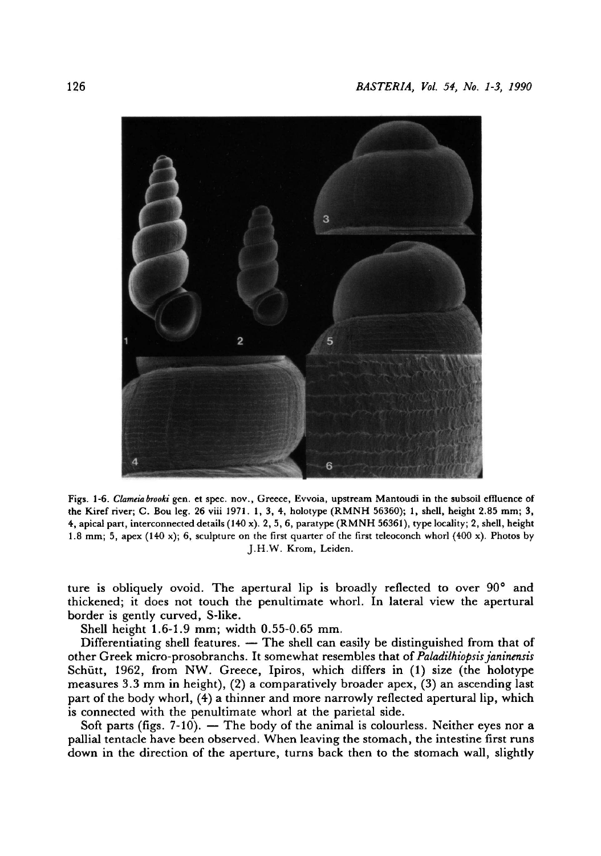

Figs. 1-6. Clameia brooki gen. et spec. nov., Greece, Evvoia, upstream Mantoudi in the subsoil effluence of the Kiref river; C. Bou leg. 26 viii 1971. 1, 3, 4, holotype (RMNH 56360); 1, shell, height 2.85 mm; 3, 4, apical part, interconnected details (140 x). 2, 5, 6, paratype (RMNH 56361), type locality; 2, shell, height 1.8 mm; 5, apex (140 x); 6, sculpture on the first quarter of the first teleoconch whorl (400 x). Photos by J.H.W. Krom, Leiden.

ture is obliquely ovoid. The apertural lip is broadly reflected to over 90° and thickened; it does not touch the penultimate whorl. In lateral view the apertural border is gently curved, S-like.

Shell height 1.6-1.9 mm; width 0.55-0.65 mm

Differentiating shell features. The shell can easily be distinguished from that of other Greek micro-prosobranchs. It somewhat resembles that of Paladilhiopsis janinensis Schiitt, 1962, from NW. Greece, Ipiros, which differs in (1) size (the holotype measures 3.3 mm in height), (2) <sup>a</sup> comparatively broader apex, (3) an ascending last part of the body whorl, (4) <sup>a</sup> thinner and more narrowly reflected apertural lip, which is connected with the penultimate whorl at the parietal side.

Soft parts (figs.  $7-10$ ). — The body of the animal is colourless. Neither eyes nor a pallial tentacle have been observed. When leaving the stomach, the intestine first runs down in the direction of the aperture, turns back then to the stomach wall, slightly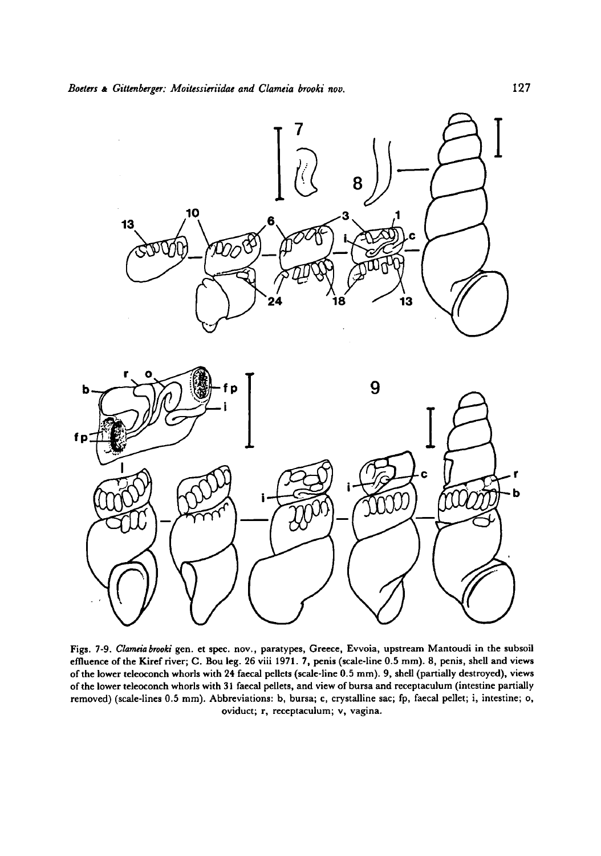

Figs. 7-9. Clameia brooki gen. et spec, nov., paratypes, Greece, Évvoia, upstream Mantoudi in the subsoil effluence ofthe Kiref river; C. Bou leg. <sup>26</sup> viii 1971. 7, penis (scale-line 0.5 mm). 8, penis, shell and views of the lower teleoconch whorls with 24 faecal pellets (scale-line 0.5 mm). 9, shell(partially destroyed), views of the lower teleoconch whorls with 31 faecal pellets, and view of bursa and receptaculum (intestine partially removed) (scale-lines 0.5 mm). Abbreviations: b, bursa; c, crystalline sac; fp, faecal pellet; i, intestine; o, oviduct; r, receptaculum; v, vagina.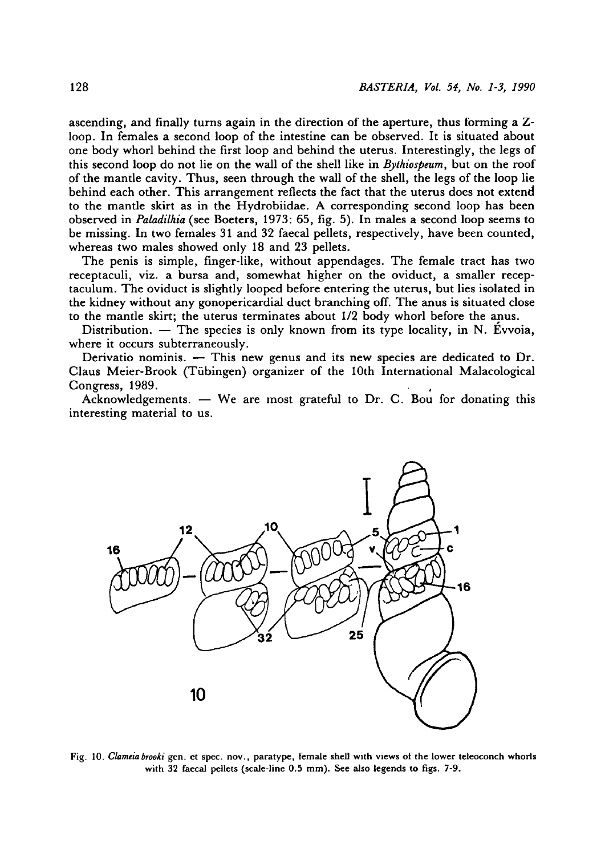ascending, and finally turns again in the direction of the aperture, thus forming a  $Z$ loop. In females <sup>a</sup> second loop of the intestine can be observed. It is situated about one body whorl behind the first loop and behind the uterus. Interestingly, the legs of this second loop do not lie on the wall of the shell like in Bythiospeum, but on the roof of the mantle cavity. Thus, seen through the wall of the shell, the legs of the loop lie behind each other. This arrangement reflects the fact that the uterus does not extend to the mantle skirt as in the Hydrobiidae. A corresponding second loop has been observed in *Paladilhia* (see Boeters, 1973: 65, fig. 5). In males a second loop seems to be missing. In two females <sup>31</sup> and 32 faecal pellets, respectively, have been counted, whereas two males showed only <sup>18</sup> and 23 pellets.

The penis is simple, finger-like, without appendages. The female tract has two receptaculi, viz. <sup>a</sup> bursa and, somewhat higher on the oviduct, <sup>a</sup> smaller receptaculum. The oviduct is slightly looped before entering the uterus, but lies isolated in the kidney without any gonopericardial duct branching off. The anus is situated close to the mantle skirt; the uterus terminates about 1/2 body whorl before the anus.

Distribution.  $-$  The species is only known from its type locality, in N. Évvoia, where it occurs subterraneously.

Derivatio nominis.  $-$  This new genus and its new species are dedicated to Dr. Claus Meier-Brook (Tubingen) organizer of the 10th International Malacological Congress, 1989.

Acknowledgements. We are most grateful to Dr. C. Bou for donating this interesting material to us.



Fig. 10. Clameia brooki gen. et spec. nov., paratype, female shell with views of the lower teleoconch whorls with <sup>32</sup> faecal pellets (scale-line 0.5 mm). See also legends to figs. 7-9.